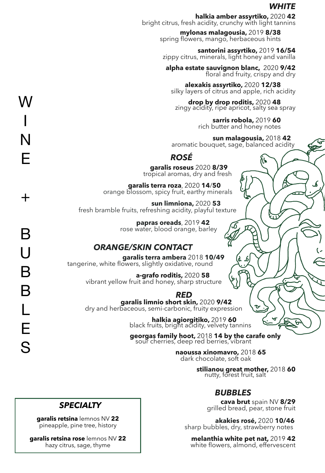### *WHITE*

₩

**halkia amber assyrtiko,** bright citrus, fresh acidity, crunchy with light tannins

**mylonas malagousia,**  spring flowers, mango, herbaceous hints

 **santorini assyrtiko,** zippy citrus, minerals, light honey and vanilla

 **alpha estate sauvignon blanc,** fl

 **alexakis assyrtiko,** silky layers of citrus and apple, rich acidity

**drop by drop roditis, 2020 48**<br>zingy acidity, ripe apricot, salty sea spray

 **sarris robola,**  rich butter and honey notes

**sun malagousia, 2018 42**<br>aromatic bouquet, sage, balanced acidity

### *ROSÉ*

**garalis roseus** tropical aromas, dry and fresh

**garalis terra roza**, 2020 **14/50**<br>orange blossom, spicy fruit, earthy minerals

**sun limniona,**  fresh bramble fruits, refreshing acidity, playful texture

**papras oreads** rose water, blood orange, barley

**ORANGE/SKIN CONTACT**<br>**garalis terra ambera** 2018 **10/49**<br>tangerine, white flowers, slightly oxidative, round

**a-grafo roditis,** vibrant yellow fruit and honey, sharp structure

*RED***<br><b>garalis limnio short skin,** 2020 **9/42**<br>dry and herbaceous, semi-carbonic, fruity expression

**halkia agiorgitiko,** 2019 **60**<br>black fruits, bright acidity, velvety tannins

georgas family hoot, 2018 14 by the carafe only sour cherries, deep red berries, vibrant

naoussa xinomavro, 2018 65 dark chocolate, soft oak

**stilianou great mother, 2018 60**<br>nutty, forest fruit, salt

### *BUBBLES*

**cava brut**  grilled bread, pear, stone fruit

akakies rosé, 2020 10/46 sharp bubbles, dry, strawberry notes

**melanthia white pet nat, 2019 42** white flowers, almond, effervescent

# *SPECIALTY*

**garalis retsina** lemnos NV **22** pineapple, pine tree, history

**garalis retsina rose** lemnos NV **22** hazy citrus, sage, thyme